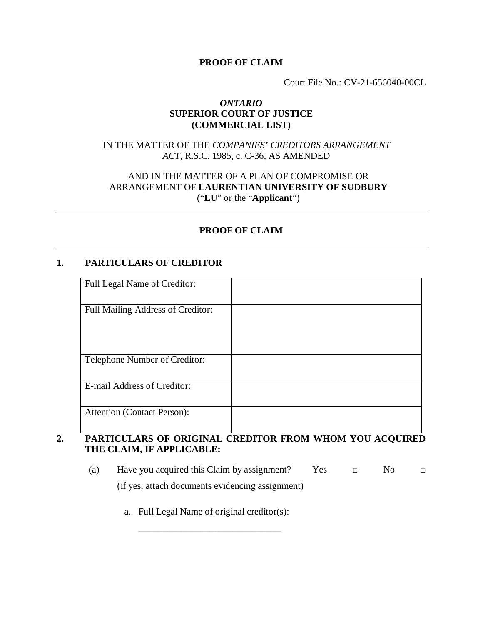#### **PROOF OF CLAIM**

Court File No.: CV-21-656040-00CL

#### *ONTARIO* **SUPERIOR COURT OF JUSTICE (COMMERCIAL LIST)**

# IN THE MATTER OF THE *COMPANIES' CREDITORS ARRANGEMENT ACT*, R.S.C. 1985, c. C-36, AS AMENDED

# AND IN THE MATTER OF A PLAN OF COMPROMISE OR ARRANGEMENT OF **LAURENTIAN UNIVERSITY OF SUDBURY** ("**LU**" or the "**Applicant**")

# **PROOF OF CLAIM**

#### **1. PARTICULARS OF CREDITOR**

| Full Legal Name of Creditor:       |  |
|------------------------------------|--|
| Full Mailing Address of Creditor:  |  |
| Telephone Number of Creditor:      |  |
| E-mail Address of Creditor:        |  |
| <b>Attention (Contact Person):</b> |  |

# **2. PARTICULARS OF ORIGINAL CREDITOR FROM WHOM YOU ACQUIRED THE CLAIM, IF APPLICABLE:**

- (a) Have you acquired this Claim by assignment? Yes  $\Box$  No  $\Box$ (if yes, attach documents evidencing assignment)
	- a. Full Legal Name of original creditor(s):

\_\_\_\_\_\_\_\_\_\_\_\_\_\_\_\_\_\_\_\_\_\_\_\_\_\_\_\_\_\_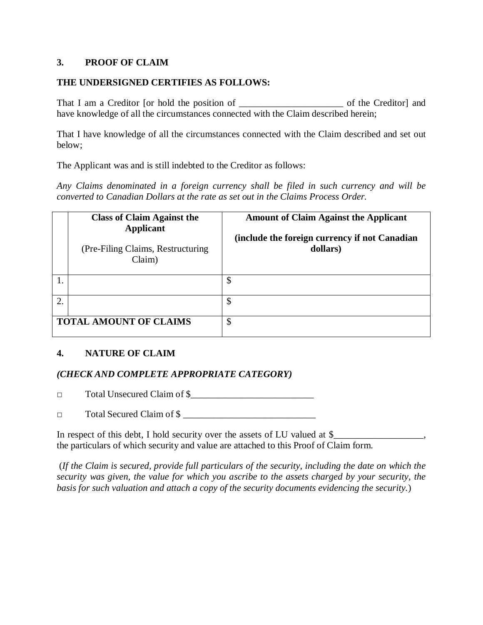### **3. PROOF OF CLAIM**

#### **THE UNDERSIGNED CERTIFIES AS FOLLOWS:**

That I am a Creditor [or hold the position of \_\_\_\_\_\_\_\_\_\_\_\_\_\_\_\_\_\_\_\_\_\_ of the Creditor] and have knowledge of all the circumstances connected with the Claim described herein;

That I have knowledge of all the circumstances connected with the Claim described and set out below;

The Applicant was and is still indebted to the Creditor as follows:

*Any Claims denominated in a foreign currency shall be filed in such currency and will be converted to Canadian Dollars at the rate as set out in the Claims Process Order.*

|                               | <b>Class of Claim Against the</b><br><b>Applicant</b><br>(Pre-Filing Claims, Restructuring)<br>Claim) | <b>Amount of Claim Against the Applicant</b><br>(include the foreign currency if not Canadian<br>dollars) |
|-------------------------------|-------------------------------------------------------------------------------------------------------|-----------------------------------------------------------------------------------------------------------|
|                               |                                                                                                       | \$                                                                                                        |
| 2                             |                                                                                                       | \$                                                                                                        |
| <b>TOTAL AMOUNT OF CLAIMS</b> |                                                                                                       | $\boldsymbol{\mathsf{\$}}$                                                                                |

# **4. NATURE OF CLAIM**

# *(CHECK AND COMPLETE APPROPRIATE CATEGORY)*

□ Total Unsecured Claim of \$\_\_\_\_\_\_\_\_\_\_\_\_\_\_\_\_\_\_\_\_\_\_\_\_\_\_

 $\Box$  Total Secured Claim of \$

In respect of this debt, I hold security over the assets of LU valued at \$ the particulars of which security and value are attached to this Proof of Claim form.

 (*If the Claim is secured, provide full particulars of the security, including the date on which the security was given, the value for which you ascribe to the assets charged by your security, the basis for such valuation and attach a copy of the security documents evidencing the security.*)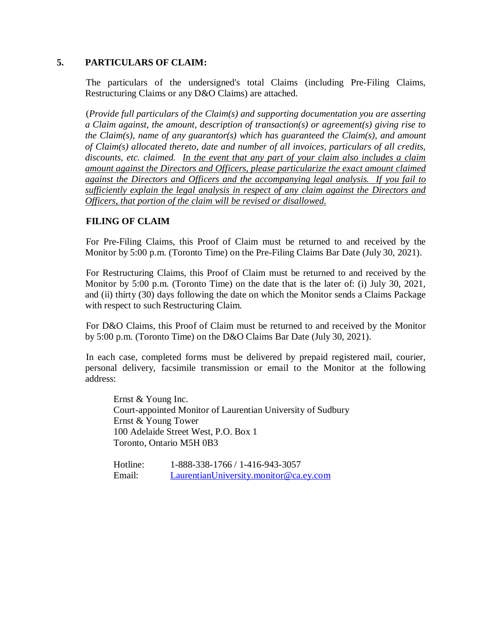#### **5. PARTICULARS OF CLAIM:**

The particulars of the undersigned's total Claims (including Pre-Filing Claims, Restructuring Claims or any D&O Claims) are attached.

(*Provide full particulars of the Claim(s) and supporting documentation you are asserting a Claim against, the amount, description of transaction(s) or agreement(s) giving rise to the Claim(s), name of any guarantor(s) which has guaranteed the Claim(s), and amount of Claim(s) allocated thereto, date and number of all invoices, particulars of all credits, discounts, etc. claimed. In the event that any part of your claim also includes a claim amount against the Directors and Officers, please particularize the exact amount claimed against the Directors and Officers and the accompanying legal analysis. If you fail to sufficiently explain the legal analysis in respect of any claim against the Directors and Officers, that portion of the claim will be revised or disallowed.*

# **FILING OF CLAIM**

For Pre-Filing Claims, this Proof of Claim must be returned to and received by the Monitor by 5:00 p.m. (Toronto Time) on the Pre-Filing Claims Bar Date (July 30, 2021).

For Restructuring Claims, this Proof of Claim must be returned to and received by the Monitor by 5:00 p.m. (Toronto Time) on the date that is the later of: (i) July 30, 2021, and (ii) thirty (30) days following the date on which the Monitor sends a Claims Package with respect to such Restructuring Claim.

For D&O Claims, this Proof of Claim must be returned to and received by the Monitor by 5:00 p.m. (Toronto Time) on the D&O Claims Bar Date (July 30, 2021).

In each case, completed forms must be delivered by prepaid registered mail, courier, personal delivery, facsimile transmission or email to the Monitor at the following address:

Ernst & Young Inc. Court-appointed Monitor of Laurentian University of Sudbury Ernst & Young Tower 100 Adelaide Street West, P.O. Box 1 Toronto, Ontario M5H 0B3

| Hotline: | 1-888-338-1766 / 1-416-943-3057        |
|----------|----------------------------------------|
| Email:   | LaurentianUniversity.monitor@ca.ey.com |